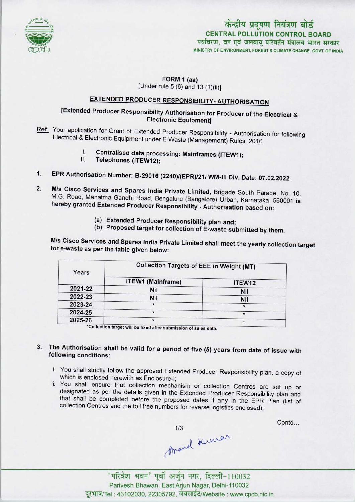

# केन्द्रीय प्रदूषण नियंत्रण बोर्ड CENTRAL POLLUTION CONTROL BOARD<br>पर्यावरण, वन एवं जलवाय परिवर्तन मंत्रालय भारत सरकार

MINISTRY OF ENVIRONMENT, FOREST S CLIMATE CHANGE GOVT. OF INDIA

#### FORM 1 (aa) [Under rule 5 (6) and 13 (1)(ii)]

## EXTENDED PRODUCER RESPONSIBILITY-AUTHORISATION

### [Extended Producer Responsibility Authorisation for Producer of the Electrical & Electronic Equipment]

- Ref: Your application for Grant of Extended Producer Responsibility Authorisation for following Electrical & Electronic Equipment under E-Waste (Management) Rules, 2016<br>
I. Centralised data processing: Mainframes (ITEW1);<br>
II. Telephones (ITEW13).
	- I. Centralised data processing: Mainframes (ITEW1);<br>II. Telephones (ITEW12);
	-
- 1. EPR Authorisation Number: B-29016 (2240)/(EPR)/21/WM-III Div. Date: 07.02.2022
- M/s Cisco Services and Spares India Private Limited, Brigade South Parade, No, 10, M.G, Road, Mahatma Gandhi Road, Bengaluru (Bangalore) Urban, Karnataka, 560001 is hereby granted Extended Producer Responsibility - Authorisation based on: 2.
	- (a)Extended Producer Responsibility plan and;
	- (b) Proposed target for collection of E-waste submitted by them.

M/s Cisco Services and Spares India Private Limited shall meet the yearly collection target for e-waste as per the table given below:

| Years   | <b>Collection Targets of EEE in Weight (MT)</b> |        |
|---------|-------------------------------------------------|--------|
|         | <b>ITEW1 (Mainframe)</b>                        | ITEW12 |
| 2021-22 | <b>Nil</b>                                      | Nil    |
| 2022-23 | <b>Nil</b>                                      | Nil    |
| 2023-24 | $\star$                                         |        |
| 2024-25 | $\star$                                         |        |
| 2025-26 | $\star$                                         |        |

\*Collection target will be fixed after submission of sales data.

#### 3. The Authorisation shall be valid for a period of five (5) years from date of issue with following conditions:

- i. You shall strictly follow the approved Extended Producer Responsibility plan, a copy of which is enclosed herewith as Enclosure-I;
- ii. You shall ensure that collection mechanism or collection Centres are set up or designated as per the details given in the Extended Producer Responsibility plan and that shall be completed before the proposed dates if any in the EPR Plan (list of collection Centres and the toll free numbers for reverse logistics enclosed);

 $A$ mand Kuwar (Aral 10032)

Contd.

Parivesh Bhawan, East Arjun Nagar, Delhi-110032 दूरभाष/Tel : 43102030, 22305792, वेबसाईट/Website : www.cpcb.nic.in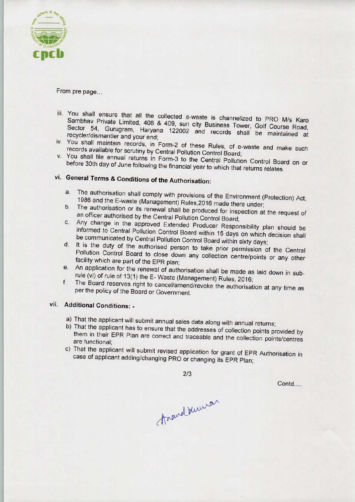

From pre page...

- iii. You shall ensure that all the collected e-waste is channelized to PRO M/s Karo Sambhav Private Limited, 408 & 409, sun city Business Tower, G. I.C. M/s Kard Sector 54, Gurugram, Haryana 122002 and records shall be Course Road. Sector 54, Gurugram, Haryana 122002 and records shall be maintained at recycler/dismantler and your end;
- iv. You shall maintain records, in Form-2 of these Rules, of e-waste and make such records available for scrutiny by Central Pollution Control Board;
- v. You shall file annual returns in Form-3 to the Central Pollution Control Board on or before 30th day of June following the financial year to which that returns relates.

# vi. General Terms & Conditions of the Authorisation:

- a. The authorisation shall comply with provisions of the Environment (Protection) Act, 1986 and the E-waste (Management) Rules,2016 made there under;
- b. The authorisation or its renewal shall be produced for inspection at the request of an officer authorised by the Central Pollution Control Board;
- c.Any change in the approved Extended Producer Responsibility plan should be informed to Central Pollution Control Board within 15 days on which decision shall be communicated by Central Pollution Control Board within sixty days;
- d. It is the duty of the authorised person to take prior permission of the Central Pollution Control Board to close down any collection centre/points or any other facility which are part of the EPR plan;
- e. An application for the renewal of authorisation shall be made as laid down in subrule (vi) of rule of 13(1) the E- Waste (Management) Rules, 2016;
- f.The Board reserves right to cancel/amend/revoke the authorisation at any time as per the policy of the Board or Government.

### vii. Additional Conditions: -

- a) That the applicant will submit annual sales data along with annual returns;
- b) That the applicant has to ensure that the addresses of collection points provided by them in their EPR Plan are correct and traceable and the collection points/centres are functional;
- c) That the applicant will submit revised application for grant of EPR Authorisation in case of applicant adding/changing PRO or changing its EPR Plan;

2/3

Contd...

Arand Kuman